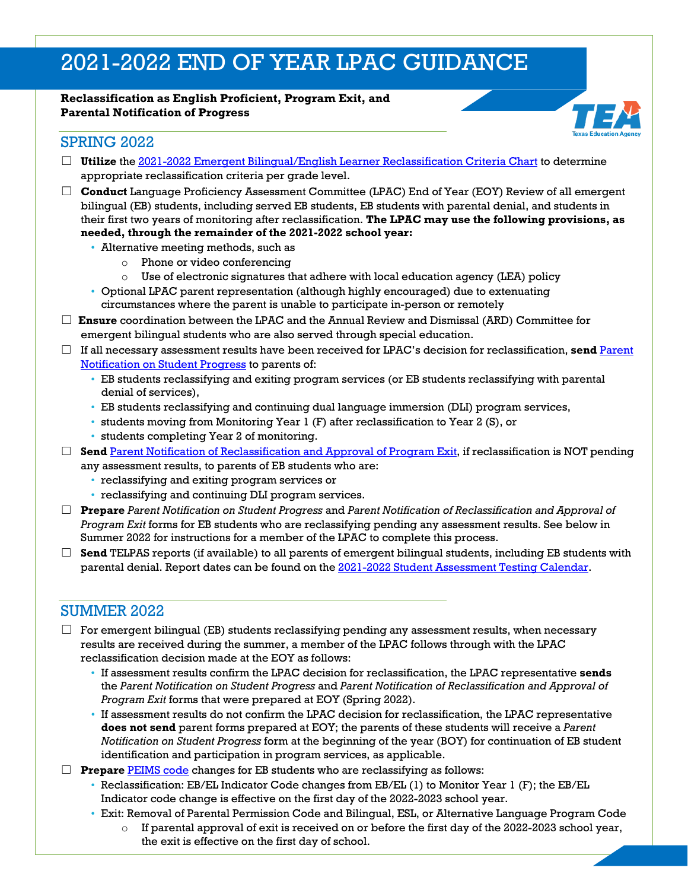# 2021-2022 END OF YEAR LPAC GUIDANCE

#### **Reclassification as English Proficient, Program Exit, and Parental Notification of Progress**



## SPRING 2022

- □ Utilize the [2021-2022 Emergent Bilingual/English Learner Reclassification Criteria Chart](https://tea.texas.gov/sites/default/files/2021-2022-eb-el-reclassification-criteria-chart.pdf) to determine appropriate reclassification criteria per grade level.
- ☐ **Conduct** Language Proficiency Assessment Committee (LPAC) End of Year (EOY) Review of all emergent bilingual (EB) students, including served EB students, EB students with parental denial, and students in their first two years of monitoring after reclassification. **The LPAC may use the following provisions, as needed, through the remainder of the 2021-2022 school year:**
	- Alternative meeting methods, such as
		- o Phone or video conferencing
		- $\circ$  Use of electronic signatures that adhere with local education agency (LEA) policy
	- Optional LPAC parent representation (although highly encouraged) due to extenuating circumstances where the parent is unable to participate in-person or remotely
- ☐ **Ensure** coordination between the LPAC and the Annual Review and Dismissal (ARD) Committee for emergent bilingual students who are also served through special education.
- ☐ If all necessary assessment results have been received for LPAC's decision for reclassification, **send** [Parent](https://www.txel.org/lpac/reviewandreclassification/)  Notification on [Student Progress](https://www.txel.org/lpac/reviewandreclassification/) to parents of:
	- EB students reclassifying and exiting program services (or EB students reclassifying with parental denial of services),
	- EB students reclassifying and continuing dual language immersion (DLI) program services,
	- students moving from Monitoring Year 1 (F) after reclassification to Year 2 (S), or
	- students completing Year 2 of monitoring.
- □ **Send** [Parent Notification of Reclassification and Approval of Program Exit,](https://www.txel.org/lpac/reviewandreclassification/) if reclassification is NOT pending any assessment results, to parents of EB students who are:
	- reclassifying and exiting program services or
	- reclassifying and continuing DLI program services.
- ☐ **Prepare** *Parent Notification on Student Progress* and *Parent Notification of Reclassification and Approval of Program Exit* forms for EB students who are reclassifying pending any assessment results. See below in Summer 2022 for instructions for a member of the LPAC to complete this process.
- $\Box$  **Send** TELPAS reports (if available) to all parents of emergent bilingual students, including EB students with parental denial. Report dates can be found on the [2021-2022 Student Assessment Testing Calendar.](https://tea.texas.gov/sites/default/files/2021-2022-testing%20calendar-updated.pdf)

# SUMMER 2022

- $\Box$  For emergent bilingual (EB) students reclassifying pending any assessment results, when necessary results are received during the summer, a member of the LPAC follows through with the LPAC reclassification decision made at the EOY as follows:
	- If assessment results confirm the LPAC decision for reclassification, the LPAC representative **sends** the *Parent Notification on Student Progress* and *Parent Notification of Reclassification and Approval of Program Exit* forms that were prepared at EOY (Spring 2022).
	- If assessment results do not confirm the LPAC decision for reclassification, the LPAC representative **does not send** parent forms prepared at EOY; the parents of these students will receive a *Parent Notification on Student Progress* form at the beginning of the year (BOY) for continuation of EB student identification and participation in program services, as applicable.
- □ **Prepare** [PEIMS code](https://tea.texas.gov/sites/default/files/code-guide-bilingual-esl-association.pdf) changes for EB students who are reclassifying as follows:
	- Reclassification: EB/EL Indicator Code changes from EB/EL (1) to Monitor Year 1 (F); the EB/EL Indicator code change is effective on the first day of the 2022-2023 school year.
	- Exit: Removal of Parental Permission Code and Bilingual, ESL, or Alternative Language Program Code
		- $\circ$  If parental approval of exit is received on or before the first day of the 2022-2023 school year, the exit is effective on the first day of school.